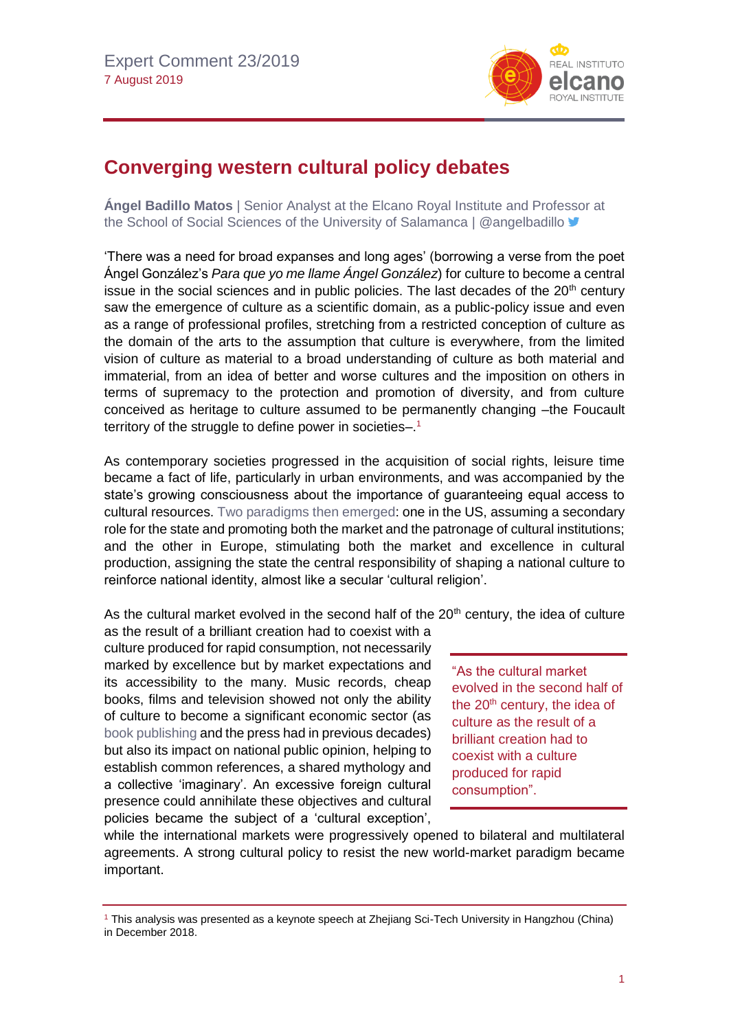

## **Converging western cultural policy debates**

**Ángel Badillo Matos** | Senior Analyst at the Elcano Royal Institute and Professor at the School of Social Sciences of the University of Salamanca | @angelbadillo V

'There was a need for broad expanses and long ages' (borrowing a verse from the poet Ángel González's *Para que yo me llame Ángel González*) for culture to become a central issue in the social sciences and in public policies. The last decades of the  $20<sup>th</sup>$  century saw the emergence of culture as a scientific domain, as a public-policy issue and even as a range of professional profiles, stretching from a restricted conception of culture as the domain of the arts to the assumption that culture is everywhere, from the limited vision of culture as material to a broad understanding of culture as both material and immaterial, from an idea of better and worse cultures and the imposition on others in terms of supremacy to the protection and promotion of diversity, and from culture conceived as heritage to culture assumed to be permanently changing –the Foucault territory of the struggle to define power in societies-.<sup>1</sup>

As contemporary societies progressed in the acquisition of social rights, leisure time became a fact of life, particularly in urban environments, and was accompanied by the state's growing consciousness about the importance of guaranteeing equal access to cultural resources. [Two paradigms then emerged:](http://www.realinstitutoelcano.org/wps/portal/rielcano_es/contenido?WCM_GLOBAL_CONTEXT=/elcano/elcano_es/zonas_es/dt6-2019-badillo-relacion-cultural-de-estados-unidos-y-espana) one in the US, assuming a secondary role for the state and promoting both the market and the patronage of cultural institutions; and the other in Europe, stimulating both the market and excellence in cultural production, assigning the state the central responsibility of shaping a national culture to reinforce national identity, almost like a secular 'cultural religion'.

As the cultural market evolved in the second half of the  $20<sup>th</sup>$  century, the idea of culture

as the result of a brilliant creation had to coexist with a culture produced for rapid consumption, not necessarily marked by excellence but by market expectations and its accessibility to the many. Music records, cheap books, films and television showed not only the ability of culture to become a significant economic sector (as [book publishing](http://www.realinstitutoelcano.org/wps/portal/rielcano_es/contenido?WCM_GLOBAL_CONTEXT=/elcano/elcano_es/zonas_es/ari92-2010) and the press had in previous decades) but also its impact on national public opinion, helping to establish common references, a shared mythology and a collective 'imaginary'. An excessive foreign cultural presence could annihilate these objectives and cultural policies became the subject of a 'cultural exception',

"As the cultural market evolved in the second half of the  $20<sup>th</sup>$  century, the idea of culture as the result of a brilliant creation had to coexist with a culture produced for rapid consumption".

while the international markets were progressively opened to bilateral and multilateral agreements. A strong cultural policy to resist the new world-market paradigm became important.

<sup>1</sup> This analysis was presented as a keynote speech at Zhejiang Sci-Tech University in Hangzhou (China) in December 2018.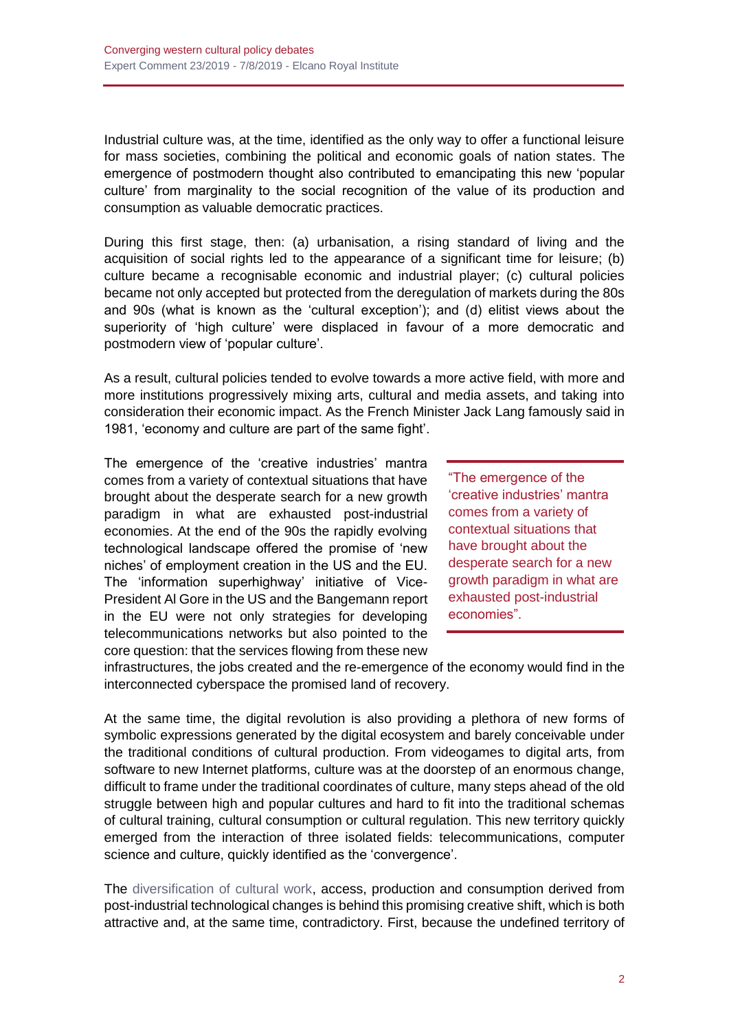Industrial culture was, at the time, identified as the only way to offer a functional leisure for mass societies, combining the political and economic goals of nation states. The emergence of postmodern thought also contributed to emancipating this new 'popular culture' from marginality to the social recognition of the value of its production and consumption as valuable democratic practices.

During this first stage, then: (a) urbanisation, a rising standard of living and the acquisition of social rights led to the appearance of a significant time for leisure; (b) culture became a recognisable economic and industrial player; (c) cultural policies became not only accepted but protected from the deregulation of markets during the 80s and 90s (what is known as the 'cultural exception'); and (d) elitist views about the superiority of 'high culture' were displaced in favour of a more democratic and postmodern view of 'popular culture'.

As a result, cultural policies tended to evolve towards a more active field, with more and more institutions progressively mixing arts, cultural and media assets, and taking into consideration their economic impact. As the French Minister Jack Lang famously said in 1981, 'economy and culture are part of the same fight'.

The emergence of the 'creative industries' mantra comes from a variety of contextual situations that have brought about the desperate search for a new growth paradigm in what are exhausted post-industrial economies. At the end of the 90s the rapidly evolving technological landscape offered the promise of 'new niches' of employment creation in the US and the EU. The 'information superhighway' initiative of Vice-President Al Gore in the US and the Bangemann report in the EU were not only strategies for developing telecommunications networks but also pointed to the core question: that the services flowing from these new

"The emergence of the 'creative industries' mantra comes from a variety of contextual situations that have brought about the desperate search for a new growth paradigm in what are exhausted post-industrial economies".

infrastructures, the jobs created and the re-emergence of the economy would find in the interconnected cyberspace the promised land of recovery.

At the same time, the digital revolution is also providing a plethora of new forms of symbolic expressions generated by the digital ecosystem and barely conceivable under the traditional conditions of cultural production. From videogames to digital arts, from software to new Internet platforms, culture was at the doorstep of an enormous change, difficult to frame under the traditional coordinates of culture, many steps ahead of the old struggle between high and popular cultures and hard to fit into the traditional schemas of cultural training, cultural consumption or cultural regulation. This new territory quickly emerged from the interaction of three isolated fields: telecommunications, computer science and culture, quickly identified as the 'convergence'.

The [diversification of cultural work,](http://www.realinstitutoelcano.org/wps/portal/rielcano_es/contenido?WCM_GLOBAL_CONTEXT=/elcano/elcano_es/zonas_es/ari8-2019-alvarezvalencia-hacia-paradigma-diplomacia-cultural-espanola) access, production and consumption derived from post-industrial technological changes is behind this promising creative shift, which is both attractive and, at the same time, contradictory. First, because the undefined territory of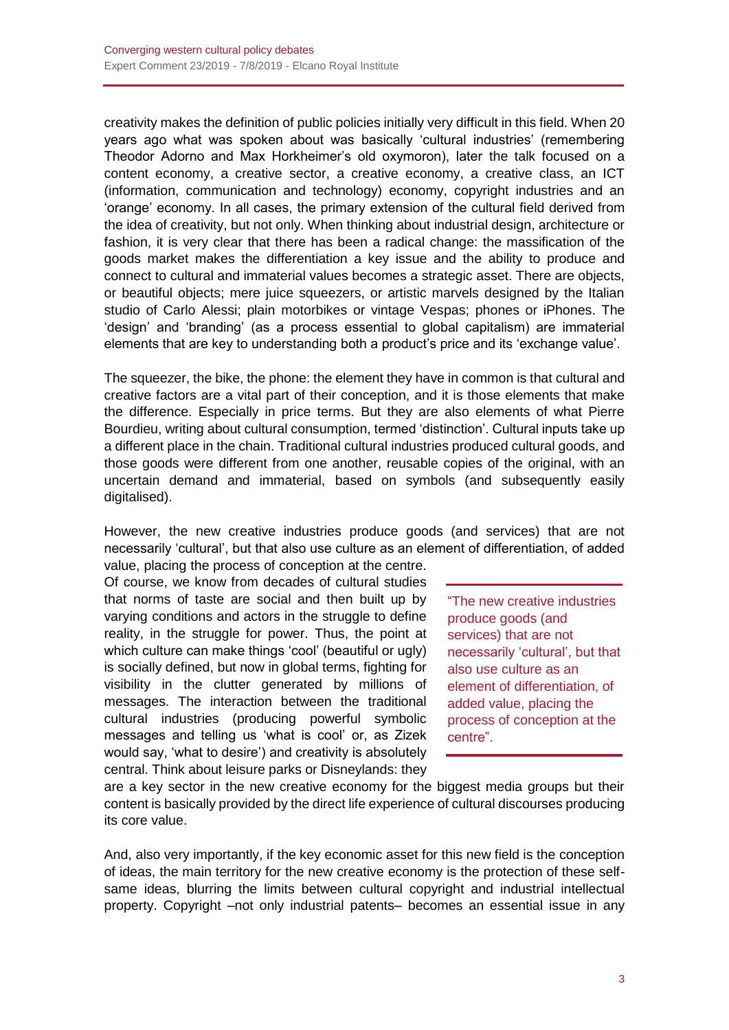creativity makes the definition of public policies initially very difficult in this field. When 20 years ago what was spoken about was basically 'cultural industries' (remembering Theodor Adorno and Max Horkheimer's old oxymoron), later the talk focused on a content economy, a creative sector, a creative economy, a creative class, an ICT (information, communication and technology) economy, copyright industries and an 'orange' economy. In all cases, the primary extension of the cultural field derived from the idea of creativity, but not only. When thinking about industrial design, architecture or fashion, it is very clear that there has been a radical change: the massification of the goods market makes the differentiation a key issue and the ability to produce and connect to cultural and immaterial values becomes a strategic asset. There are objects, or beautiful objects; mere juice squeezers, or artistic marvels designed by the Italian studio of Carlo Alessi; plain motorbikes or vintage Vespas; phones or iPhones. The 'design' and 'branding' (as a process essential to global capitalism) are immaterial elements that are key to understanding both a product's price and its 'exchange value'.

The squeezer, the bike, the phone: the element they have in common is that cultural and creative factors are a vital part of their conception, and it is those elements that make the difference. Especially in price terms. But they are also elements of what Pierre Bourdieu, writing about cultural consumption, termed 'distinction'. Cultural inputs take up a different place in the chain. Traditional cultural industries produced cultural goods, and those goods were different from one another, reusable copies of the original, with an uncertain demand and immaterial, based on symbols (and subsequently easily digitalised).

However, the new creative industries produce goods (and services) that are not necessarily 'cultural', but that also use culture as an element of differentiation, of added

value, placing the process of conception at the centre. Of course, we know from decades of cultural studies that norms of taste are social and then built up by varying conditions and actors in the struggle to define reality, in the struggle for power. Thus, the point at which culture can make things 'cool' (beautiful or ugly) is socially defined, but now in global terms, fighting for visibility in the clutter generated by millions of messages. The interaction between the traditional cultural industries (producing powerful symbolic messages and telling us 'what is cool' or, as Zizek would say, 'what to desire') and creativity is absolutely central. Think about leisure parks or Disneylands: they

"The new creative industries produce goods (and services) that are not necessarily 'cultural', but that also use culture as an element of differentiation, of added value, placing the process of conception at the centre".

are a key sector in the new creative economy for the biggest media groups but their content is basically provided by the direct life experience of cultural discourses producing its core value.

And, also very importantly, if the key economic asset for this new field is the conception of ideas, the main territory for the new creative economy is the protection of these selfsame ideas, blurring the limits between cultural copyright and industrial intellectual property. Copyright –not only industrial patents– becomes an essential issue in any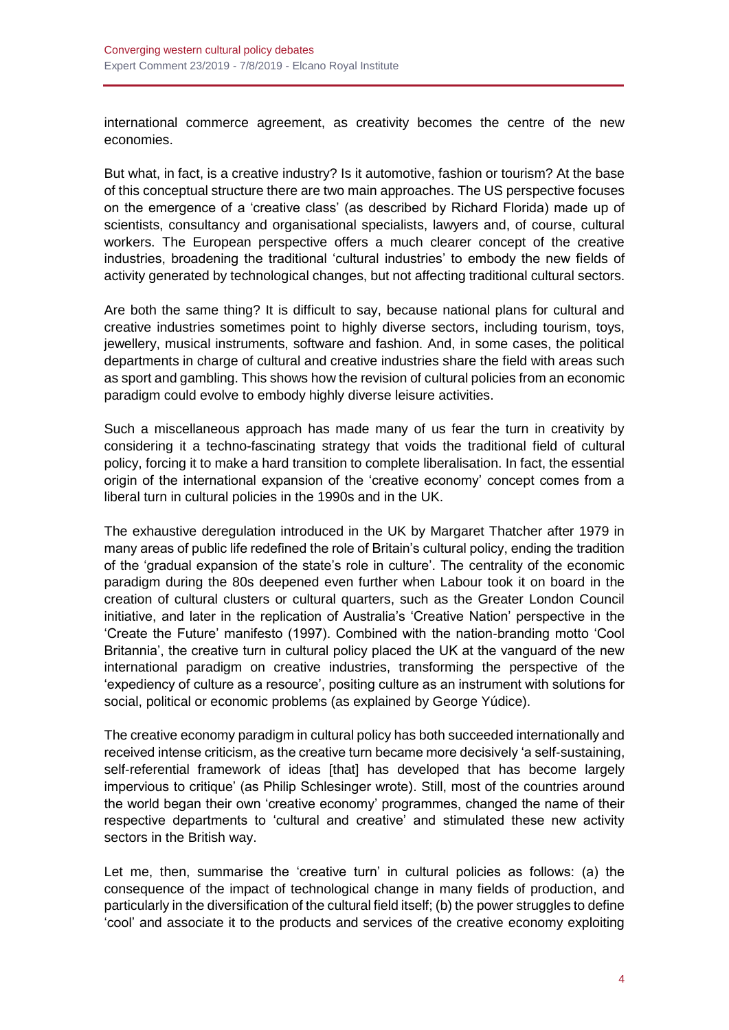international commerce agreement, as creativity becomes the centre of the new economies.

But what, in fact, is a creative industry? Is it automotive, fashion or tourism? At the base of this conceptual structure there are two main approaches. The US perspective focuses on the emergence of a 'creative class' (as described by Richard Florida) made up of scientists, consultancy and organisational specialists, lawyers and, of course, cultural workers. The European perspective offers a much clearer concept of the creative industries, broadening the traditional 'cultural industries' to embody the new fields of activity generated by technological changes, but not affecting traditional cultural sectors.

Are both the same thing? It is difficult to say, because national plans for cultural and creative industries sometimes point to highly diverse sectors, including tourism, toys, jewellery, musical instruments, software and fashion. And, in some cases, the political departments in charge of cultural and creative industries share the field with areas such as sport and gambling. This shows how the revision of cultural policies from an economic paradigm could evolve to embody highly diverse leisure activities.

Such a miscellaneous approach has made many of us fear the turn in creativity by considering it a techno-fascinating strategy that voids the traditional field of cultural policy, forcing it to make a hard transition to complete liberalisation. In fact, the essential origin of the international expansion of the 'creative economy' concept comes from a liberal turn in cultural policies in the 1990s and in the UK.

The exhaustive deregulation introduced in the UK by Margaret Thatcher after 1979 in many areas of public life redefined the role of Britain's cultural policy, ending the tradition of the 'gradual expansion of the state's role in culture'. The centrality of the economic paradigm during the 80s deepened even further when Labour took it on board in the creation of cultural clusters or cultural quarters, such as the Greater London Council initiative, and later in the replication of Australia's 'Creative Nation' perspective in the 'Create the Future' manifesto (1997). Combined with the nation-branding motto 'Cool Britannia', the creative turn in cultural policy placed the UK at the vanguard of the new international paradigm on creative industries, transforming the perspective of the 'expediency of culture as a resource', positing culture as an instrument with solutions for social, political or economic problems (as explained by George Yúdice).

The creative economy paradigm in cultural policy has both succeeded internationally and received intense criticism, as the creative turn became more decisively 'a self-sustaining, self-referential framework of ideas [that] has developed that has become largely impervious to critique' (as Philip Schlesinger wrote). Still, most of the countries around the world began their own 'creative economy' programmes, changed the name of their respective departments to 'cultural and creative' and stimulated these new activity sectors in the British way.

Let me, then, summarise the 'creative turn' in cultural policies as follows: (a) the consequence of the impact of technological change in many fields of production, and particularly in the diversification of the cultural field itself; (b) the power struggles to define 'cool' and associate it to the products and services of the creative economy exploiting